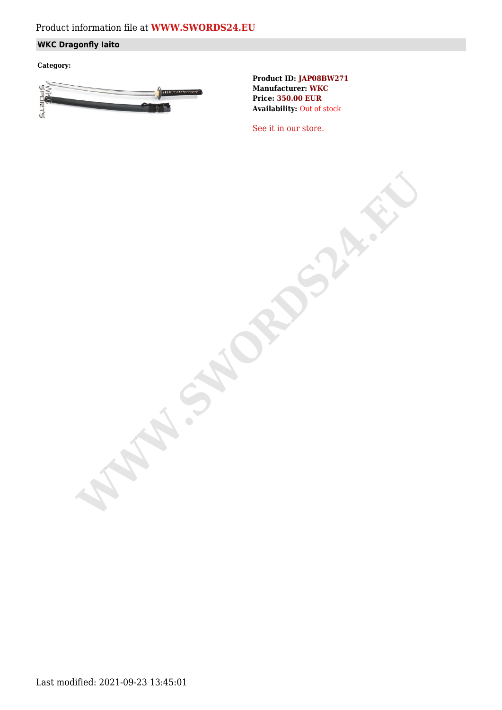## Product information file at **[WWW.SWORDS24.EU](https://www.swords24.eu)**

### **WKC Dragonfly Iaito**

**Category:**



**Product ID: JAP08BW271 Manufacturer: WKC Price: 350.00 EUR Availability:** Out of stock

[See it in our store.](https://www.swords24.eu/product/description/1124/WKC-Dragonfly-Iaito-JAP08BW302.html)

**WARDSHIP**